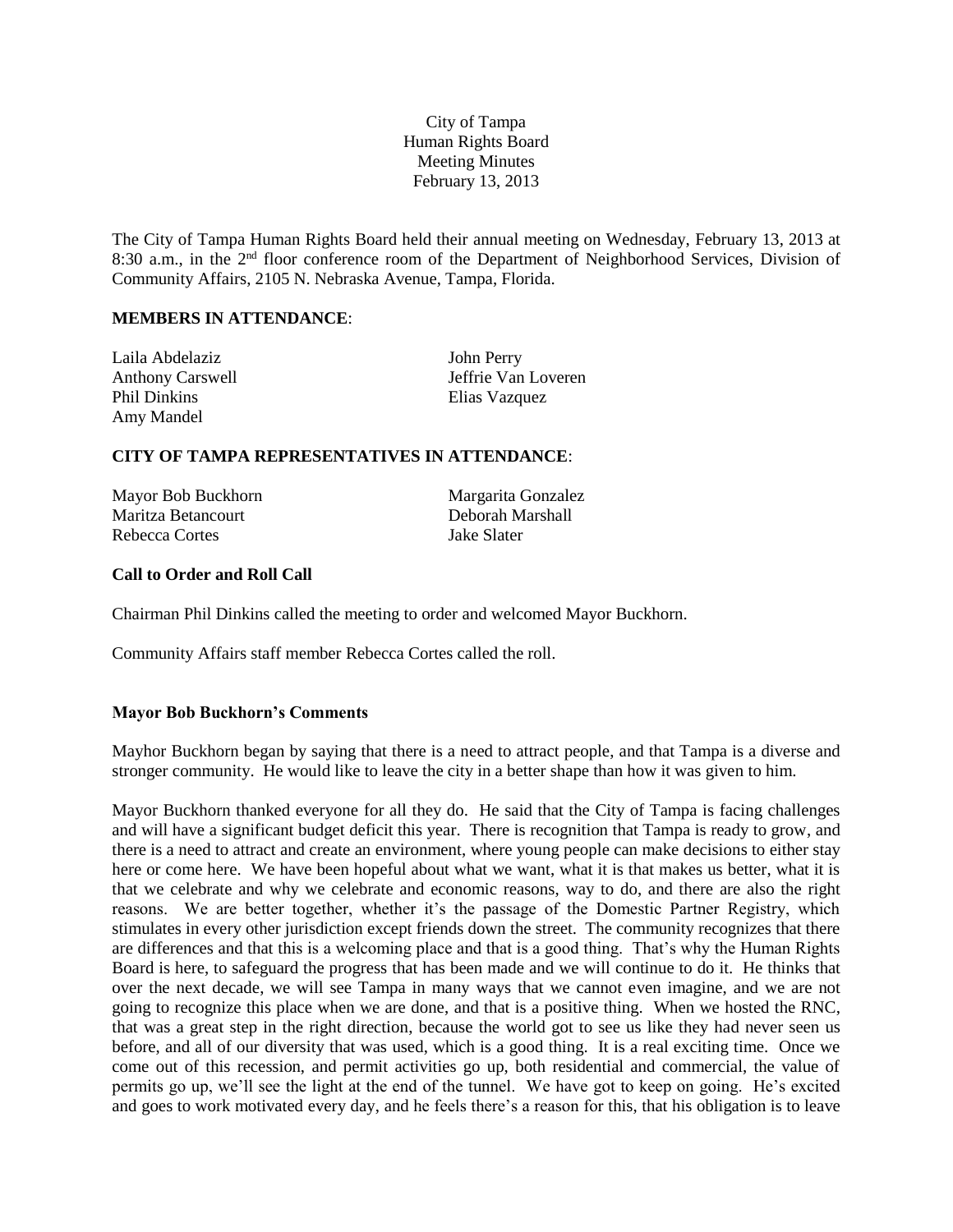City of Tampa Human Rights Board Meeting Minutes February 13, 2013

The City of Tampa Human Rights Board held their annual meeting on Wednesday, February 13, 2013 at 8:30 a.m., in the 2<sup>nd</sup> floor conference room of the Department of Neighborhood Services, Division of Community Affairs, 2105 N. Nebraska Avenue, Tampa, Florida.

## **MEMBERS IN ATTENDANCE**:

| Laila Abdelaziz         | John Perry          |
|-------------------------|---------------------|
| <b>Anthony Carswell</b> | Jeffrie Van Loveren |
| <b>Phil Dinkins</b>     | Elias Vazquez       |
| Amy Mandel              |                     |

## **CITY OF TAMPA REPRESENTATIVES IN ATTENDANCE**:

| Mayor Bob Buckhorn | Margarita Gonzalez |
|--------------------|--------------------|
| Maritza Betancourt | Deborah Marshall   |
| Rebecca Cortes     | Jake Slater        |

## **Call to Order and Roll Call**

Chairman Phil Dinkins called the meeting to order and welcomed Mayor Buckhorn.

Community Affairs staff member Rebecca Cortes called the roll.

#### **Mayor Bob Buckhorn's Comments**

Mayhor Buckhorn began by saying that there is a need to attract people, and that Tampa is a diverse and stronger community. He would like to leave the city in a better shape than how it was given to him.

Mayor Buckhorn thanked everyone for all they do. He said that the City of Tampa is facing challenges and will have a significant budget deficit this year. There is recognition that Tampa is ready to grow, and there is a need to attract and create an environment, where young people can make decisions to either stay here or come here. We have been hopeful about what we want, what it is that makes us better, what it is that we celebrate and why we celebrate and economic reasons, way to do, and there are also the right reasons. We are better together, whether it's the passage of the Domestic Partner Registry, which stimulates in every other jurisdiction except friends down the street. The community recognizes that there are differences and that this is a welcoming place and that is a good thing. That's why the Human Rights Board is here, to safeguard the progress that has been made and we will continue to do it. He thinks that over the next decade, we will see Tampa in many ways that we cannot even imagine, and we are not going to recognize this place when we are done, and that is a positive thing. When we hosted the RNC, that was a great step in the right direction, because the world got to see us like they had never seen us before, and all of our diversity that was used, which is a good thing. It is a real exciting time. Once we come out of this recession, and permit activities go up, both residential and commercial, the value of permits go up, we'll see the light at the end of the tunnel. We have got to keep on going. He's excited and goes to work motivated every day, and he feels there's a reason for this, that his obligation is to leave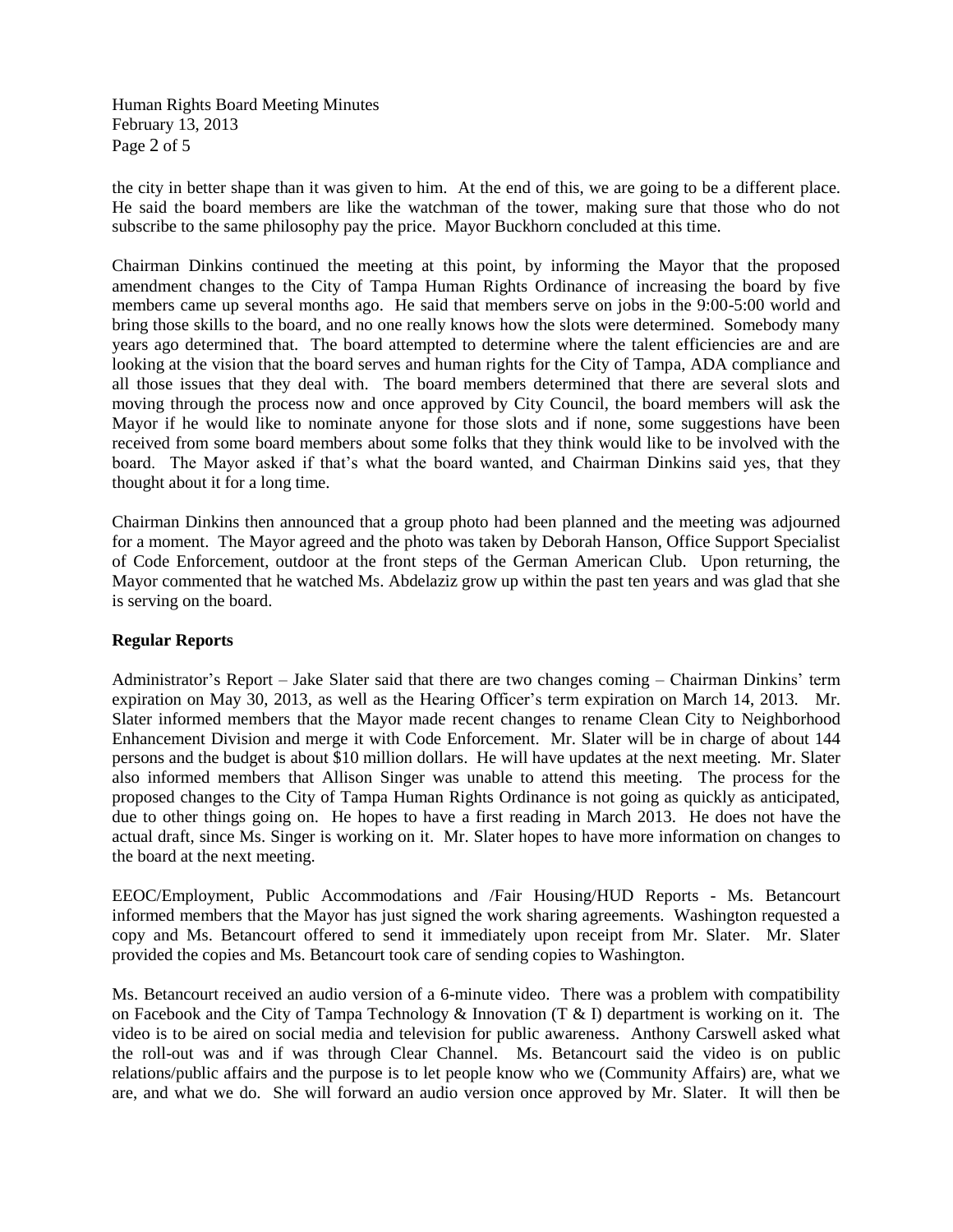Human Rights Board Meeting Minutes February 13, 2013 Page 2 of 5

the city in better shape than it was given to him. At the end of this, we are going to be a different place. He said the board members are like the watchman of the tower, making sure that those who do not subscribe to the same philosophy pay the price. Mayor Buckhorn concluded at this time.

Chairman Dinkins continued the meeting at this point, by informing the Mayor that the proposed amendment changes to the City of Tampa Human Rights Ordinance of increasing the board by five members came up several months ago. He said that members serve on jobs in the 9:00-5:00 world and bring those skills to the board, and no one really knows how the slots were determined. Somebody many years ago determined that. The board attempted to determine where the talent efficiencies are and are looking at the vision that the board serves and human rights for the City of Tampa, ADA compliance and all those issues that they deal with. The board members determined that there are several slots and moving through the process now and once approved by City Council, the board members will ask the Mayor if he would like to nominate anyone for those slots and if none, some suggestions have been received from some board members about some folks that they think would like to be involved with the board. The Mayor asked if that's what the board wanted, and Chairman Dinkins said yes, that they thought about it for a long time.

Chairman Dinkins then announced that a group photo had been planned and the meeting was adjourned for a moment. The Mayor agreed and the photo was taken by Deborah Hanson, Office Support Specialist of Code Enforcement, outdoor at the front steps of the German American Club. Upon returning, the Mayor commented that he watched Ms. Abdelaziz grow up within the past ten years and was glad that she is serving on the board.

# **Regular Reports**

Administrator's Report – Jake Slater said that there are two changes coming – Chairman Dinkins' term expiration on May 30, 2013, as well as the Hearing Officer's term expiration on March 14, 2013. Mr. Slater informed members that the Mayor made recent changes to rename Clean City to Neighborhood Enhancement Division and merge it with Code Enforcement. Mr. Slater will be in charge of about 144 persons and the budget is about \$10 million dollars. He will have updates at the next meeting. Mr. Slater also informed members that Allison Singer was unable to attend this meeting. The process for the proposed changes to the City of Tampa Human Rights Ordinance is not going as quickly as anticipated, due to other things going on. He hopes to have a first reading in March 2013. He does not have the actual draft, since Ms. Singer is working on it. Mr. Slater hopes to have more information on changes to the board at the next meeting.

EEOC/Employment, Public Accommodations and /Fair Housing/HUD Reports - Ms. Betancourt informed members that the Mayor has just signed the work sharing agreements. Washington requested a copy and Ms. Betancourt offered to send it immediately upon receipt from Mr. Slater. Mr. Slater provided the copies and Ms. Betancourt took care of sending copies to Washington.

Ms. Betancourt received an audio version of a 6-minute video. There was a problem with compatibility on Facebook and the City of Tampa Technology & Innovation (T & I) department is working on it. The video is to be aired on social media and television for public awareness. Anthony Carswell asked what the roll-out was and if was through Clear Channel. Ms. Betancourt said the video is on public relations/public affairs and the purpose is to let people know who we (Community Affairs) are, what we are, and what we do. She will forward an audio version once approved by Mr. Slater. It will then be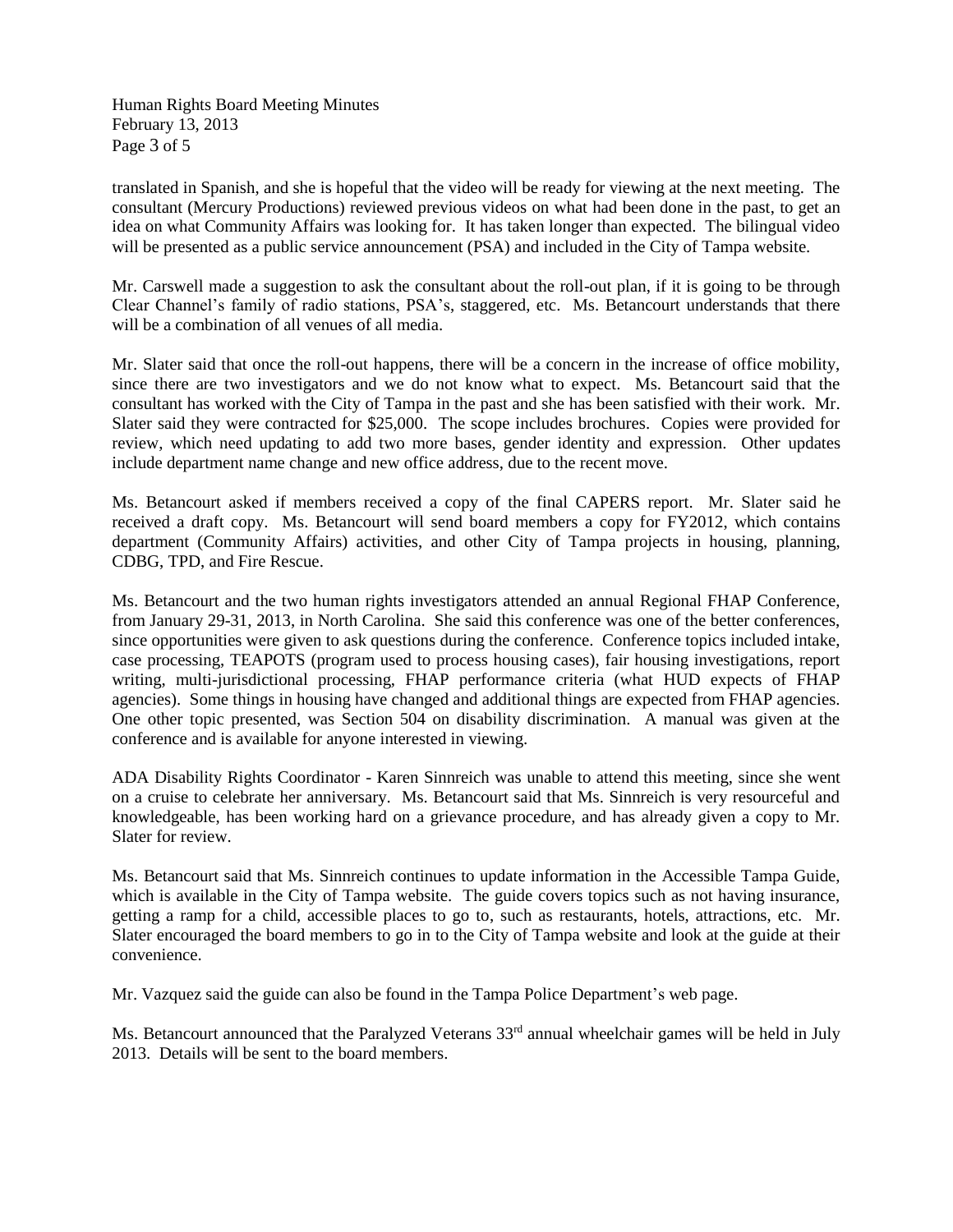Human Rights Board Meeting Minutes February 13, 2013 Page 3 of 5

translated in Spanish, and she is hopeful that the video will be ready for viewing at the next meeting. The consultant (Mercury Productions) reviewed previous videos on what had been done in the past, to get an idea on what Community Affairs was looking for. It has taken longer than expected. The bilingual video will be presented as a public service announcement (PSA) and included in the City of Tampa website.

Mr. Carswell made a suggestion to ask the consultant about the roll-out plan, if it is going to be through Clear Channel's family of radio stations, PSA's, staggered, etc. Ms. Betancourt understands that there will be a combination of all venues of all media.

Mr. Slater said that once the roll-out happens, there will be a concern in the increase of office mobility, since there are two investigators and we do not know what to expect. Ms. Betancourt said that the consultant has worked with the City of Tampa in the past and she has been satisfied with their work. Mr. Slater said they were contracted for \$25,000. The scope includes brochures. Copies were provided for review, which need updating to add two more bases, gender identity and expression. Other updates include department name change and new office address, due to the recent move.

Ms. Betancourt asked if members received a copy of the final CAPERS report. Mr. Slater said he received a draft copy. Ms. Betancourt will send board members a copy for FY2012, which contains department (Community Affairs) activities, and other City of Tampa projects in housing, planning, CDBG, TPD, and Fire Rescue.

Ms. Betancourt and the two human rights investigators attended an annual Regional FHAP Conference, from January 29-31, 2013, in North Carolina. She said this conference was one of the better conferences, since opportunities were given to ask questions during the conference. Conference topics included intake, case processing, TEAPOTS (program used to process housing cases), fair housing investigations, report writing, multi-jurisdictional processing, FHAP performance criteria (what HUD expects of FHAP agencies). Some things in housing have changed and additional things are expected from FHAP agencies. One other topic presented, was Section 504 on disability discrimination. A manual was given at the conference and is available for anyone interested in viewing.

ADA Disability Rights Coordinator - Karen Sinnreich was unable to attend this meeting, since she went on a cruise to celebrate her anniversary. Ms. Betancourt said that Ms. Sinnreich is very resourceful and knowledgeable, has been working hard on a grievance procedure, and has already given a copy to Mr. Slater for review.

Ms. Betancourt said that Ms. Sinnreich continues to update information in the Accessible Tampa Guide, which is available in the City of Tampa website. The guide covers topics such as not having insurance, getting a ramp for a child, accessible places to go to, such as restaurants, hotels, attractions, etc. Mr. Slater encouraged the board members to go in to the City of Tampa website and look at the guide at their convenience.

Mr. Vazquez said the guide can also be found in the Tampa Police Department's web page.

Ms. Betancourt announced that the Paralyzed Veterans 33<sup>rd</sup> annual wheelchair games will be held in July 2013. Details will be sent to the board members.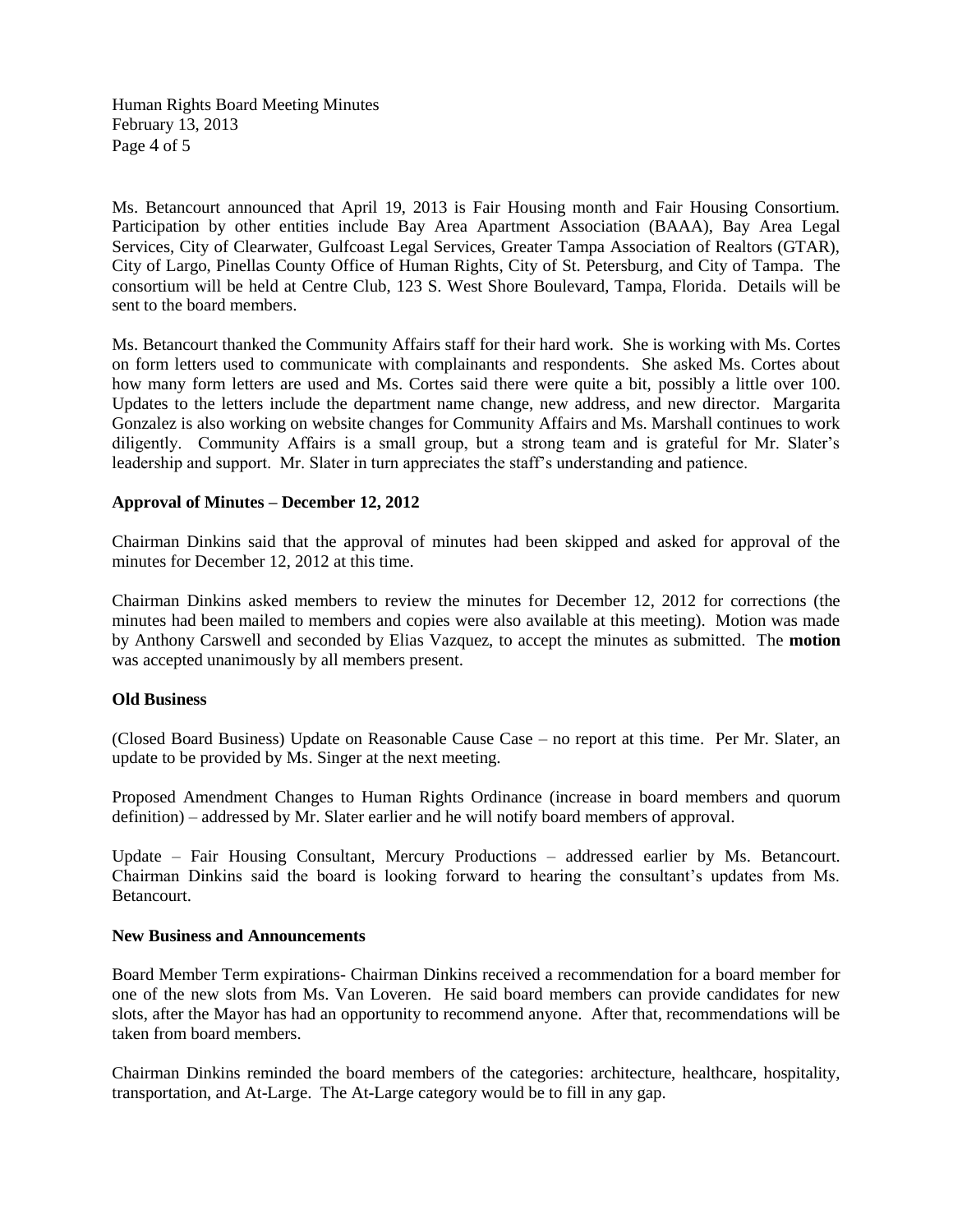Human Rights Board Meeting Minutes February 13, 2013 Page 4 of 5

Ms. Betancourt announced that April 19, 2013 is Fair Housing month and Fair Housing Consortium. Participation by other entities include Bay Area Apartment Association (BAAA), Bay Area Legal Services, City of Clearwater, Gulfcoast Legal Services, Greater Tampa Association of Realtors (GTAR), City of Largo, Pinellas County Office of Human Rights, City of St. Petersburg, and City of Tampa. The consortium will be held at Centre Club, 123 S. West Shore Boulevard, Tampa, Florida. Details will be sent to the board members.

Ms. Betancourt thanked the Community Affairs staff for their hard work. She is working with Ms. Cortes on form letters used to communicate with complainants and respondents. She asked Ms. Cortes about how many form letters are used and Ms. Cortes said there were quite a bit, possibly a little over 100. Updates to the letters include the department name change, new address, and new director. Margarita Gonzalez is also working on website changes for Community Affairs and Ms. Marshall continues to work diligently. Community Affairs is a small group, but a strong team and is grateful for Mr. Slater's leadership and support. Mr. Slater in turn appreciates the staff's understanding and patience.

## **Approval of Minutes – December 12, 2012**

Chairman Dinkins said that the approval of minutes had been skipped and asked for approval of the minutes for December 12, 2012 at this time.

Chairman Dinkins asked members to review the minutes for December 12, 2012 for corrections (the minutes had been mailed to members and copies were also available at this meeting). Motion was made by Anthony Carswell and seconded by Elias Vazquez, to accept the minutes as submitted. The **motion** was accepted unanimously by all members present.

#### **Old Business**

(Closed Board Business) Update on Reasonable Cause Case – no report at this time. Per Mr. Slater, an update to be provided by Ms. Singer at the next meeting.

Proposed Amendment Changes to Human Rights Ordinance (increase in board members and quorum definition) – addressed by Mr. Slater earlier and he will notify board members of approval.

Update – Fair Housing Consultant, Mercury Productions – addressed earlier by Ms. Betancourt. Chairman Dinkins said the board is looking forward to hearing the consultant's updates from Ms. Betancourt.

#### **New Business and Announcements**

Board Member Term expirations- Chairman Dinkins received a recommendation for a board member for one of the new slots from Ms. Van Loveren. He said board members can provide candidates for new slots, after the Mayor has had an opportunity to recommend anyone. After that, recommendations will be taken from board members.

Chairman Dinkins reminded the board members of the categories: architecture, healthcare, hospitality, transportation, and At-Large. The At-Large category would be to fill in any gap.